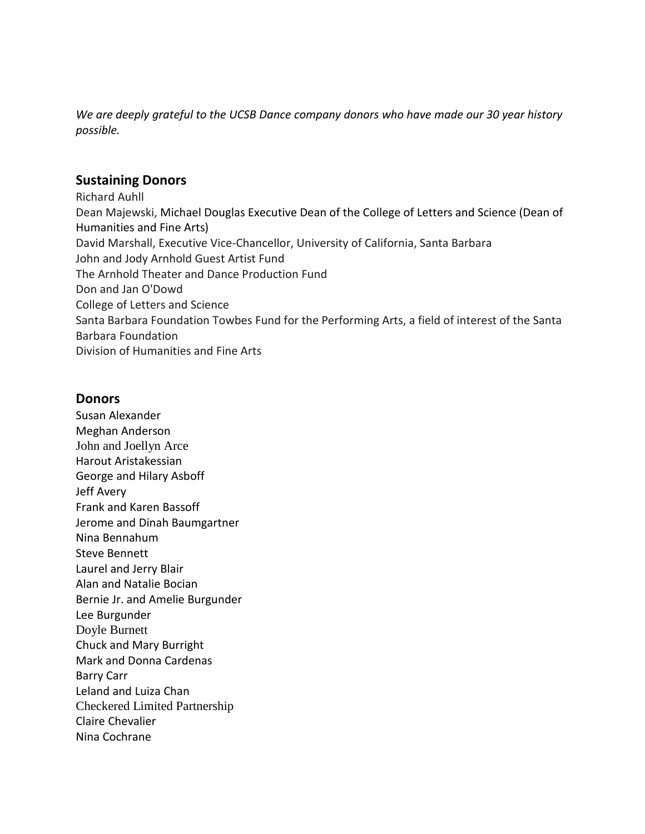*We are deeply grateful to the UCSB Dance company donors who have made our 30 year history possible.* 

## **Sustaining Donors**

Richard Auhll Dean Majewski, Michael Douglas Executive Dean of the College of Letters and Science (Dean of Humanities and Fine Arts) David Marshall, Executive Vice-Chancellor, University of California, Santa Barbara John and Jody Arnhold Guest Artist Fund The Arnhold Theater and Dance Production Fund Don and Jan O'Dowd College of Letters and Science Santa Barbara Foundation Towbes Fund for the Performing Arts, a field of interest of the Santa Barbara Foundation Division of Humanities and Fine Arts

## **Donors**

Susan Alexander Meghan Anderson John and Joellyn Arce Harout Aristakessian George and Hilary Asboff Jeff Avery Frank and Karen Bassoff Jerome and Dinah Baumgartner Nina Bennahum Steve Bennett Laurel and Jerry Blair Alan and Natalie Bocian Bernie Jr. and Amelie Burgunder Lee Burgunder Doyle Burnett Chuck and Mary Burright Mark and Donna Cardenas Barry Carr Leland and Luiza Chan Checkered Limited Partnership Claire Chevalier Nina Cochrane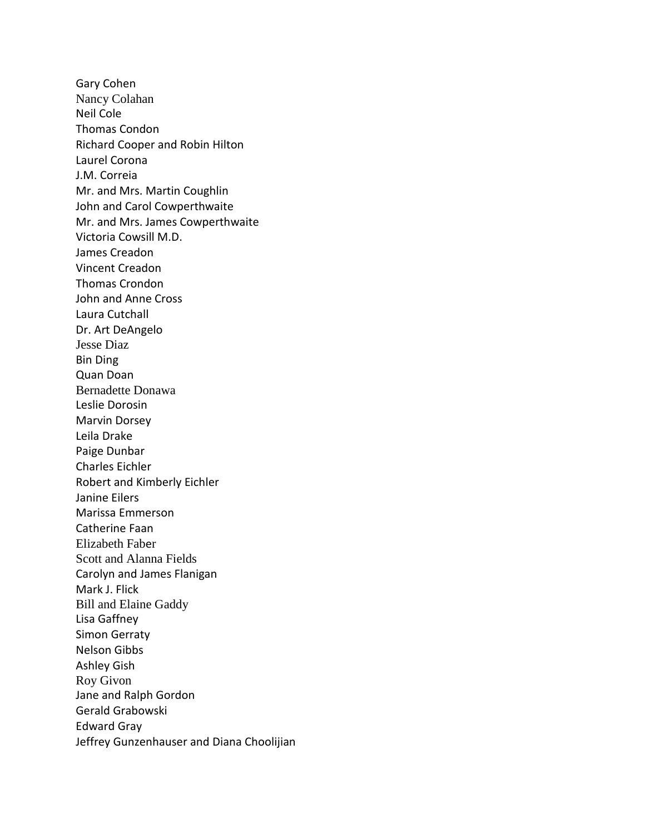Gary Cohen Nancy Colahan Neil Cole Thomas Condon Richard Cooper and Robin Hilton Laurel Corona J.M. Correia Mr. and Mrs. Martin Coughlin John and Carol Cowperthwaite Mr. and Mrs. James Cowperthwaite Victoria Cowsill M.D. James Creadon Vincent Creadon Thomas Crondon John and Anne Cross Laura Cutchall Dr. Art DeAngelo Jesse Diaz Bin Ding Quan Doan Bernadette Donawa Leslie Dorosin Marvin Dorsey Leila Drake Paige Dunbar Charles Eichler Robert and Kimberly Eichler Janine Eilers Marissa Emmerson Catherine Faan Elizabeth Faber Scott and Alanna Fields Carolyn and James Flanigan Mark J. Flick Bill and Elaine Gaddy Lisa Gaffney Simon Gerraty Nelson Gibbs Ashley Gish Roy Givon Jane and Ralph Gordon Gerald Grabowski Edward Gray Jeffrey Gunzenhauser and Diana Choolijian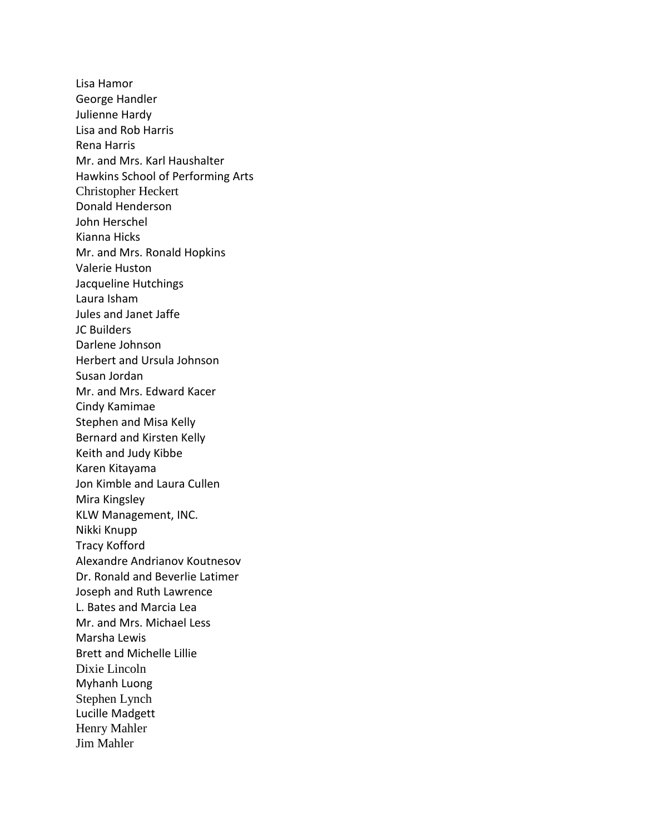Lisa Hamor George Handler Julienne Hardy Lisa and Rob Harris Rena Harris Mr. and Mrs. Karl Haushalter Hawkins School of Performing Arts Christopher Heckert Donald Henderson John Herschel Kianna Hicks Mr. and Mrs. Ronald Hopkins Valerie Huston Jacqueline Hutchings Laura Isham Jules and Janet Jaffe JC Builders Darlene Johnson Herbert and Ursula Johnson Susan Jordan Mr. and Mrs. Edward Kacer Cindy Kamimae Stephen and Misa Kelly Bernard and Kirsten Kelly Keith and Judy Kibbe Karen Kitayama Jon Kimble and Laura Cullen Mira Kingsley KLW Management, INC. Nikki Knupp Tracy Kofford Alexandre Andrianov Koutnesov Dr. Ronald and Beverlie Latimer Joseph and Ruth Lawrence L. Bates and Marcia Lea Mr. and Mrs. Michael Less Marsha Lewis Brett and Michelle Lillie Dixie Lincoln Myhanh Luong Stephen Lynch Lucille Madgett Henry Mahler Jim Mahler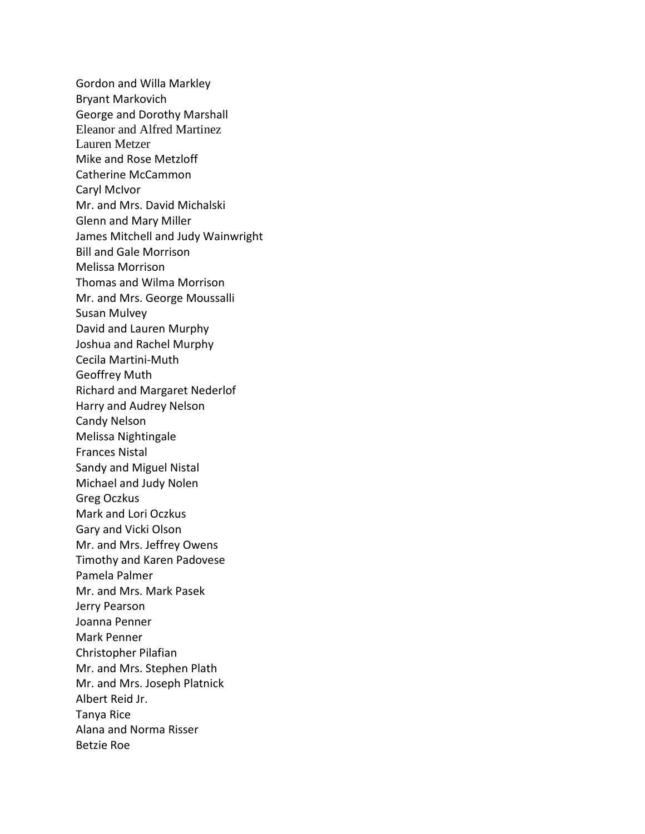Gordon and Willa Markley Bryant Markovich George and Dorothy Marshall Eleanor and Alfred Martinez Lauren Metzer Mike and Rose Metzloff Catherine McCammon Caryl McIvor Mr. and Mrs. David Michalski Glenn and Mary Miller James Mitchell and Judy Wainwright Bill and Gale Morrison Melissa Morrison Thomas and Wilma Morrison Mr. and Mrs. George Moussalli Susan Mulvey David and Lauren Murphy Joshua and Rachel Murphy Cecila Martini-Muth Geoffrey Muth Richard and Margaret Nederlof Harry and Audrey Nelson Candy Nelson Melissa Nightingale Frances Nistal Sandy and Miguel Nistal Michael and Judy Nolen Greg Oczkus Mark and Lori Oczkus Gary and Vicki Olson Mr. and Mrs. Jeffrey Owens Timothy and Karen Padovese Pamela Palmer Mr. and Mrs. Mark Pasek Jerry Pearson Joanna Penner Mark Penner Christopher Pilafian Mr. and Mrs. Stephen Plath Mr. and Mrs. Joseph Platnick Albert Reid Jr. Tanya Rice Alana and Norma Risser Betzie Roe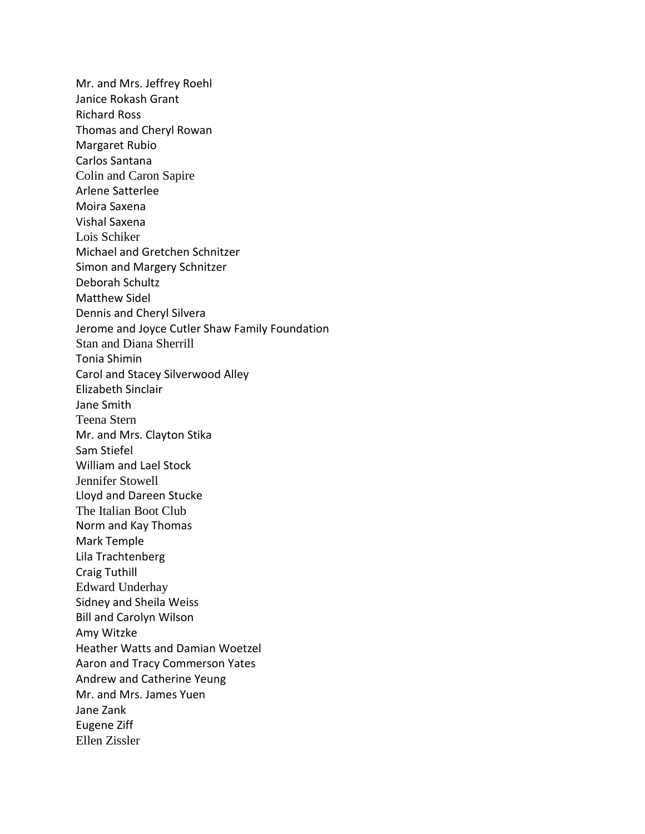Mr. and Mrs. Jeffrey Roehl Janice Rokash Grant Richard Ross Thomas and Cheryl Rowan Margaret Rubio Carlos Santana Colin and Caron Sapire Arlene Satterlee Moira Saxena Vishal Saxena Lois Schiker Michael and Gretchen Schnitzer Simon and Margery Schnitzer Deborah Schultz Matthew Sidel Dennis and Cheryl Silvera Jerome and Joyce Cutler Shaw Family Foundation Stan and Diana Sherrill Tonia Shimin Carol and Stacey Silverwood Alley Elizabeth Sinclair Jane Smith Teena Stern Mr. and Mrs. Clayton Stika Sam Stiefel William and Lael Stock Jennifer Stowell Lloyd and Dareen Stucke The Italian Boot Club Norm and Kay Thomas Mark Temple Lila Trachtenberg Craig Tuthill Edward Underhay Sidney and Sheila Weiss Bill and Carolyn Wilson Amy Witzke Heather Watts and Damian Woetzel Aaron and Tracy Commerson Yates Andrew and Catherine Yeung Mr. and Mrs. James Yuen Jane Zank Eugene Ziff Ellen Zissler